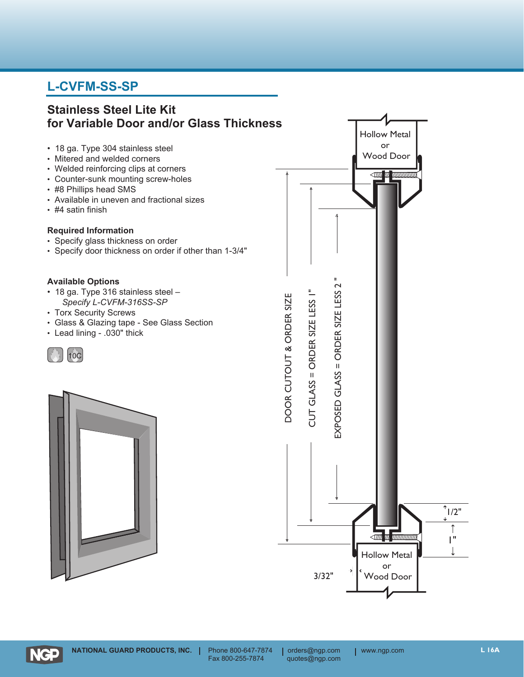## **L-CVFM-SS-SP**

### **Stainless Steel Lite Kit for Variable Door and/or Glass Thickness**

- 18 ga. Type 304 stainless steel
- Mitered and welded corners
- Welded reinforcing clips at corners
- Counter-sunk mounting screw-holes
- #8 Phillips head SMS
- Available in uneven and fractional sizes
- #4 satin finish

#### **Required Information**

- Specify glass thickness on order
- Specify door thickness on order if other than 1-3/4"

### **Available Options**

- 18 ga. Type 316 stainless steel *Specify L-CVFM-316SS-SP*
- Torx Security Screws
- Glass & Glazing tape See Glass Section
- Lead lining .030" thick









Fax 800-255-7874